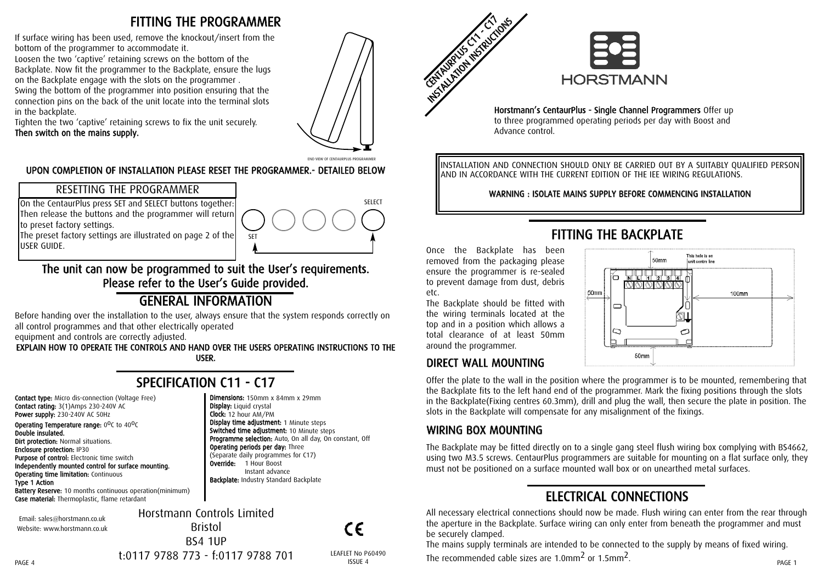### FITTING THE PROGRAMMER

If surface wiring has been used, remove the knockout/insert from the bottom of the programmer to accommodate it.

Loosen the two 'captive' retaining screws on the bottom of the Backplate. Now fit the programmer to the Backplate, ensure the lugs on the Backplate engage with the slots on the programmer .

Swing the bottom of the programmer into position ensuring that the connection pins on the back of the unit locate into the terminal slots in the backplate.

Tighten the two 'captive' retaining screws to fix the unit securely. Then switch on the mains supply.



END VIEW OF CENTAURPLUS PROGRAMME

#### UPON COMPLETION OF INSTALLATION PLEASE RESET THE PROGRAMMER.- DETAILED BELOW

#### RESETTING THE PROGRAMMER

On the CentaurPlus press SET and SELECT buttons together: Then release the buttons and the programmer will return to preset factory settings.

The preset factory settings are illustrated on page 2 of the USER GUIDE.



#### The unit can now be programmed to suit the User's requirements. Please refer to the User's Guide provided.

## GENERAL INFORMATION

Before handing over the installation to the user, always ensure that the system responds correctly on all control programmes and that other electrically operated

equipment and controls are correctly adjusted.

EXPLAIN HOW TO OPERATE THE CONTROLS AND HAND OVER THE USERS OPERATING INSTRUCTIONS TO THE USER.

# SPECIFICATION C11 - C17

Dimensions: 150mm x 84mm x 29mm

SET

Display time adjustment: 1 Minute steps Switched time adjustment: 10 Minute steps

Instant advance **Backplate:** Industry Standard Backplate

Operating periods per day: Three (Separate daily programmes for C17) Override: 1 Hour Boost

Programme selection: Auto, On all day, On constant, Off

Display: Liquid crystal Clock: 12 hour AM/PM

Contact type: Micro dis-connection (Voltage Free) Contact rating: 3(1)Amps 230-240V AC Power supply: 230-240V AC 50Hz

**Operating Temperature range:**  $0^0C$  to  $40^0C$ Double insulated. **Dirt protection: Normal situations.** Enclosure protection: IP30 Purpose of control: Electronic time switch Independently mounted control for surface mounting.

**Operating time limitation: Continuous** Type 1 Action

Battery Reserve: 10 months continuous operation(minimum) Case material: Thermoplastic, flame retardant

Email: sales@horstmann.co.uk Website: www.horstmann.co.uk Horstmann Controls Limited Bristol BS4 1UP

 $\epsilon$ 

t:0117 9788 773 - f:0117 9788 701



Horstmann's CentaurPlus - Single Channel Programmers Offer up to three programmed operating periods per day with Boost and Advance control.

INSTALLATION AND CONNECTION SHOULD ONLY BE CARRIED OUT BY A SUITABLY QUALIFIED PERSON AND IN ACCORDANCE WITH THE CURRENT EDITION OF THE IEE WIRING REGULATIONS.

WARNING : ISOLATE MAINS SUPPLY BEFORE COMMENCING INSTALLATION

## FITTING THE BACKPLATE

Once the Backplate has been removed from the packaging please ensure the programmer is re-sealed to prevent damage from dust, debris etc.

The Backplate should be fitted with the wiring terminals located at the top and in a position which allows a total clearance of at least 50mm around the programmer.

# DIRECT WALL MOUNTING



Offer the plate to the wall in the position where the programmer is to be mounted, remembering that the Backplate fits to the left hand end of the programmer. Mark the fixing positions through the slots in the Backplate(Fixing centres 60.3mm), drill and plug the wall, then secure the plate in position. The slots in the Backplate will compensate for any misalignment of the fixings.

### WIRING BOX MOUNTING

The Backplate may be fitted directly on to a single gang steel flush wiring box complying with BS4662. using two M3.5 screws. CentaurPlus programmers are suitable for mounting on a flat surface only, they must not be positioned on a surface mounted wall box or on unearthed metal surfaces.

# ELECTRICAL CONNECTIONS

All necessary electrical connections should now be made. Flush wiring can enter from the rear through the aperture in the Backplate. Surface wiring can only enter from beneath the programmer and must be securely clamped.

The mains supply terminals are intended to be connected to the supply by means of fixed wiring.  $t:0117\,9788\,773$  -  $f:0117\,9788\,701$  LEAFLET No P60490 Issue 4 The recommended cable sizes are 1.0mm<sup>2</sup> or 1.5mm<sup>2</sup>.